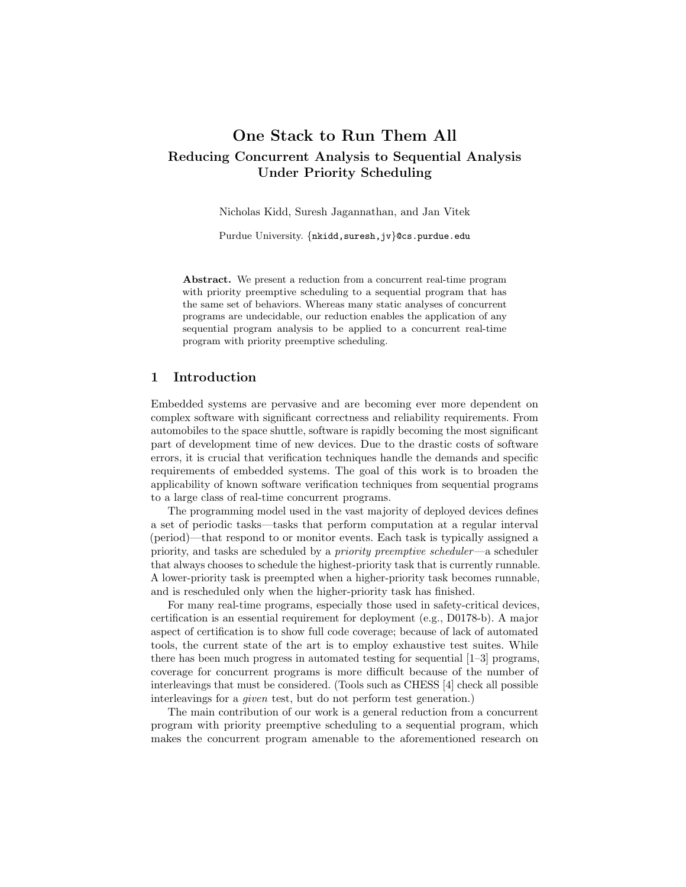# One Stack to Run Them All Reducing Concurrent Analysis to Sequential Analysis Under Priority Scheduling

Nicholas Kidd, Suresh Jagannathan, and Jan Vitek

Purdue University. {nkidd, suresh, jv}@cs.purdue.edu

Abstract. We present a reduction from a concurrent real-time program with priority preemptive scheduling to a sequential program that has the same set of behaviors. Whereas many static analyses of concurrent programs are undecidable, our reduction enables the application of any sequential program analysis to be applied to a concurrent real-time program with priority preemptive scheduling.

# 1 Introduction

Embedded systems are pervasive and are becoming ever more dependent on complex software with significant correctness and reliability requirements. From automobiles to the space shuttle, software is rapidly becoming the most significant part of development time of new devices. Due to the drastic costs of software errors, it is crucial that verification techniques handle the demands and specific requirements of embedded systems. The goal of this work is to broaden the applicability of known software verification techniques from sequential programs to a large class of real-time concurrent programs.

The programming model used in the vast majority of deployed devices defines a set of periodic tasks—tasks that perform computation at a regular interval (period)—that respond to or monitor events. Each task is typically assigned a priority, and tasks are scheduled by a priority preemptive scheduler—a scheduler that always chooses to schedule the highest-priority task that is currently runnable. A lower-priority task is preempted when a higher-priority task becomes runnable, and is rescheduled only when the higher-priority task has finished.

For many real-time programs, especially those used in safety-critical devices, certification is an essential requirement for deployment (e.g., D0178-b). A major aspect of certification is to show full code coverage; because of lack of automated tools, the current state of the art is to employ exhaustive test suites. While there has been much progress in automated testing for sequential [1–3] programs, coverage for concurrent programs is more difficult because of the number of interleavings that must be considered. (Tools such as CHESS [4] check all possible interleavings for a given test, but do not perform test generation.)

The main contribution of our work is a general reduction from a concurrent program with priority preemptive scheduling to a sequential program, which makes the concurrent program amenable to the aforementioned research on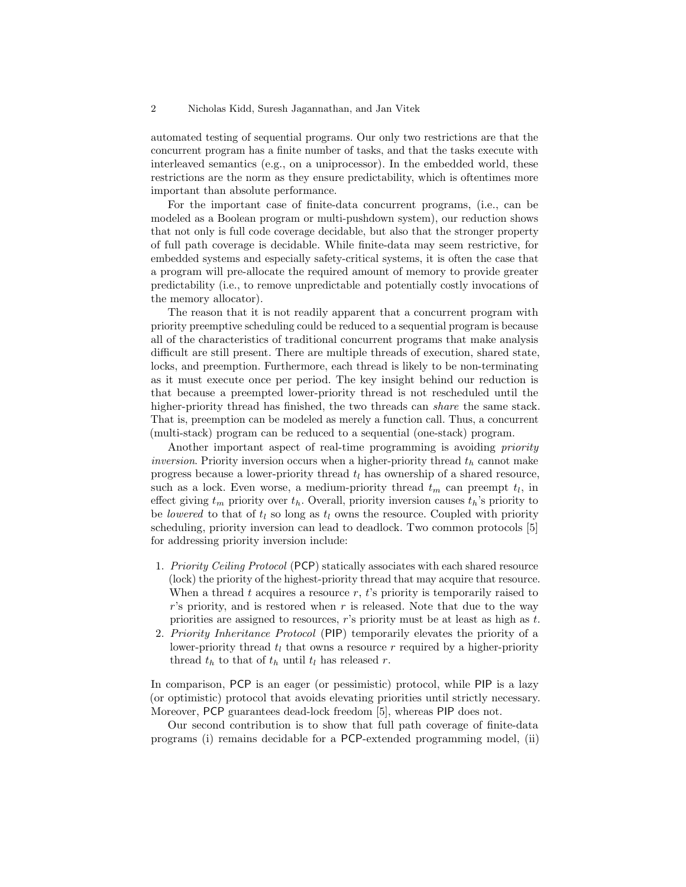automated testing of sequential programs. Our only two restrictions are that the concurrent program has a finite number of tasks, and that the tasks execute with interleaved semantics (e.g., on a uniprocessor). In the embedded world, these restrictions are the norm as they ensure predictability, which is oftentimes more important than absolute performance.

For the important case of finite-data concurrent programs, (i.e., can be modeled as a Boolean program or multi-pushdown system), our reduction shows that not only is full code coverage decidable, but also that the stronger property of full path coverage is decidable. While finite-data may seem restrictive, for embedded systems and especially safety-critical systems, it is often the case that a program will pre-allocate the required amount of memory to provide greater predictability (i.e., to remove unpredictable and potentially costly invocations of the memory allocator).

The reason that it is not readily apparent that a concurrent program with priority preemptive scheduling could be reduced to a sequential program is because all of the characteristics of traditional concurrent programs that make analysis difficult are still present. There are multiple threads of execution, shared state, locks, and preemption. Furthermore, each thread is likely to be non-terminating as it must execute once per period. The key insight behind our reduction is that because a preempted lower-priority thread is not rescheduled until the higher-priority thread has finished, the two threads can share the same stack. That is, preemption can be modeled as merely a function call. Thus, a concurrent (multi-stack) program can be reduced to a sequential (one-stack) program.

Another important aspect of real-time programming is avoiding priority *inversion*. Priority inversion occurs when a higher-priority thread  $t<sub>h</sub>$  cannot make progress because a lower-priority thread  $t_l$  has ownership of a shared resource, such as a lock. Even worse, a medium-priority thread  $t_m$  can preempt  $t_l$ , in effect giving  $t_m$  priority over  $t_h$ . Overall, priority inversion causes  $t_h$ 's priority to be lowered to that of  $t_l$  so long as  $t_l$  owns the resource. Coupled with priority scheduling, priority inversion can lead to deadlock. Two common protocols [5] for addressing priority inversion include:

- 1. Priority Ceiling Protocol (PCP) statically associates with each shared resource (lock) the priority of the highest-priority thread that may acquire that resource. When a thread t acquires a resource  $r$ , t's priority is temporarily raised to  $r$ 's priority, and is restored when r is released. Note that due to the way priorities are assigned to resources, r's priority must be at least as high as t.
- 2. Priority Inheritance Protocol (PIP) temporarily elevates the priority of a lower-priority thread  $t_l$  that owns a resource r required by a higher-priority thread  $t_h$  to that of  $t_h$  until  $t_l$  has released r.

In comparison, PCP is an eager (or pessimistic) protocol, while PIP is a lazy (or optimistic) protocol that avoids elevating priorities until strictly necessary. Moreover, PCP guarantees dead-lock freedom [5], whereas PIP does not.

Our second contribution is to show that full path coverage of finite-data programs (i) remains decidable for a PCP-extended programming model, (ii)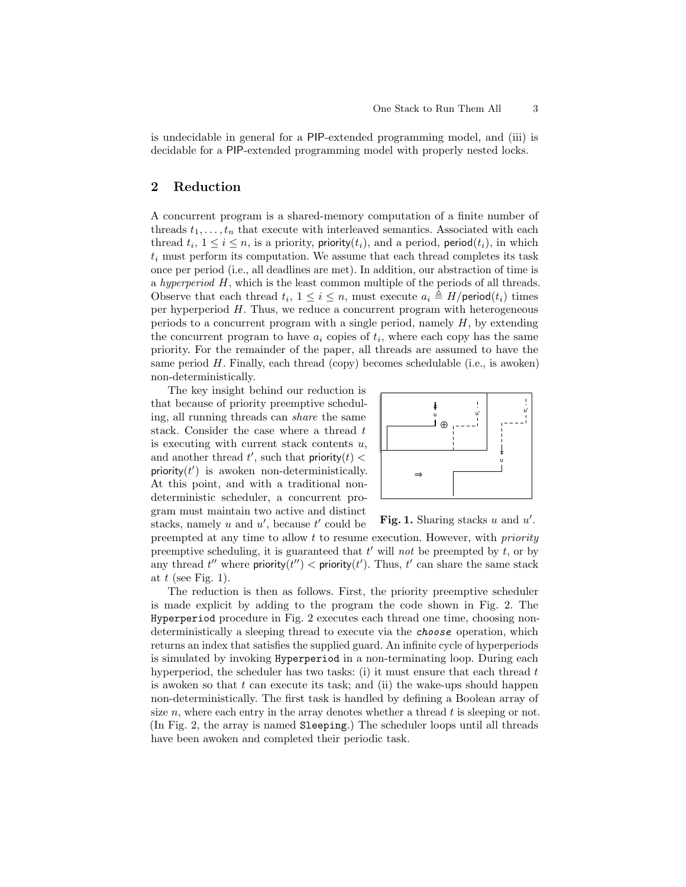is undecidable in general for a PIP-extended programming model, and (iii) is decidable for a PIP-extended programming model with properly nested locks.

# 2 Reduction

A concurrent program is a shared-memory computation of a finite number of threads  $t_1, \ldots, t_n$  that execute with interleaved semantics. Associated with each thread  $t_i$ ,  $1 \leq i \leq n$ , is a priority, priority $(t_i)$ , and a period, period $(t_i)$ , in which  $t_i$  must perform its computation. We assume that each thread completes its task once per period (i.e., all deadlines are met). In addition, our abstraction of time is a hyperperiod  $H$ , which is the least common multiple of the periods of all threads. Observe that each thread  $t_i$ ,  $1 \leq i \leq n$ , must execute  $a_i \triangleq H/\text{period}(t_i)$  times per hyperperiod  $H$ . Thus, we reduce a concurrent program with heterogeneous periods to a concurrent program with a single period, namely  $H$ , by extending the concurrent program to have  $a_i$  copies of  $t_i$ , where each copy has the same priority. For the remainder of the paper, all threads are assumed to have the same period  $H$ . Finally, each thread (copy) becomes schedulable (i.e., is awoken) non-deterministically.

The key insight behind our reduction is that because of priority preemptive scheduling, all running threads can share the same stack. Consider the case where a thread t is executing with current stack contents  $u$ , and another thread  $t'$ , such that priority $(t)$  < priority $(t')$  is awoken non-deterministically. At this point, and with a traditional nondeterministic scheduler, a concurrent program must maintain two active and distinct stacks, namely  $u$  and  $u'$ , because  $t'$  could be



Fig. 1. Sharing stacks  $u$  and  $u'$ .

preempted at any time to allow t to resume execution. However, with priority preemptive scheduling, it is guaranteed that  $t'$  will not be preempted by  $t$ , or by any thread  $t''$  where priority $(t'') <$  priority $(t')$ . Thus,  $t'$  can share the same stack at  $t$  (see Fig. 1).

The reduction is then as follows. First, the priority preemptive scheduler is made explicit by adding to the program the code shown in Fig. 2. The Hyperperiod procedure in Fig. 2 executes each thread one time, choosing nondeterministically a sleeping thread to execute via the choose operation, which returns an index that satisfies the supplied guard. An infinite cycle of hyperperiods is simulated by invoking Hyperperiod in a non-terminating loop. During each hyperperiod, the scheduler has two tasks: (i) it must ensure that each thread  $t$ is awoken so that  $t$  can execute its task; and (ii) the wake-ups should happen non-deterministically. The first task is handled by defining a Boolean array of size n, where each entry in the array denotes whether a thread t is sleeping or not. (In Fig. 2, the array is named Sleeping.) The scheduler loops until all threads have been awoken and completed their periodic task.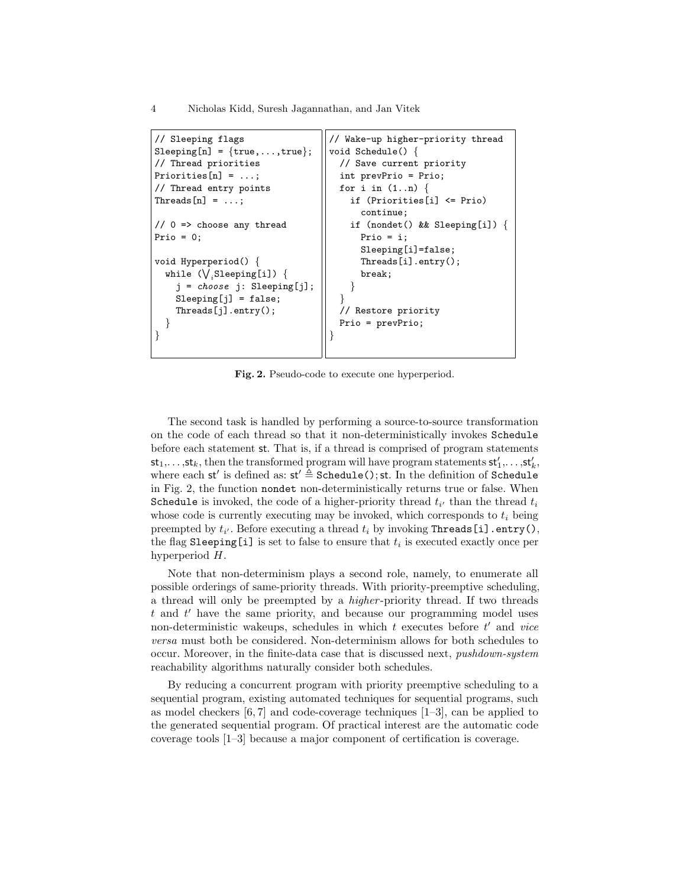```
// Sleeping flags
Sleeping[n] = {true, \ldots, true};// Thread priorities
Priorities[n] = ...;
// Thread entry points
Threads[n] = ...;// 0 => choose any thread
Prio = 0:
void Hyperperiod() {
  while (\bigvee_i \texttt{Sleeping[i]}) \{j = choose j: Sleeping[j];
    Sleeping[j] = false;
    Threads[j].entry();
  }
}
                                   // Wake-up higher-priority thread
                                   void Schedule() {
                                      // Save current priority
                                      int prevPrio = Prio;
                                     for i in (1..n) {
                                        if (Priorities[i] <= Prio)
                                          continue;
                                        if (nondet() && Sleeping[i]) {
                                          Prio = i;
                                          Sleeping[i]=false;
                                          Threads[i].entry();
                                          break;
                                        }
                                      }
                                      // Restore priority
                                      Prio = prevPrio;
                                    }
```
Fig. 2. Pseudo-code to execute one hyperperiod.

The second task is handled by performing a source-to-source transformation on the code of each thread so that it non-deterministically invokes Schedule before each statement st. That is, if a thread is comprised of program statements  $\mathsf{st}_1,\ldots,\mathsf{st}_k$ , then the transformed program will have program statements  $\mathsf{st}'_1,\ldots,\mathsf{st}'_k$ , where each st' is defined as:  $st' \triangleq \text{Schedule}$  (); st. In the definition of Schedule in Fig. 2, the function nondet non-deterministically returns true or false. When Schedule is invoked, the code of a higher-priority thread  $t_{i'}$  than the thread  $t_i$ whose code is currently executing may be invoked, which corresponds to  $t_i$  being preempted by  $t_{i'}$ . Before executing a thread  $t_i$  by invoking Threads [i].entry(), the flag Sleeping[i] is set to false to ensure that  $t_i$  is executed exactly once per hyperperiod H.

Note that non-determinism plays a second role, namely, to enumerate all possible orderings of same-priority threads. With priority-preemptive scheduling, a thread will only be preempted by a *higher*-priority thread. If two threads  $t$  and  $t'$  have the same priority, and because our programming model uses non-deterministic wakeups, schedules in which  $t$  executes before  $t'$  and vice versa must both be considered. Non-determinism allows for both schedules to occur. Moreover, in the finite-data case that is discussed next, pushdown-system reachability algorithms naturally consider both schedules.

By reducing a concurrent program with priority preemptive scheduling to a sequential program, existing automated techniques for sequential programs, such as model checkers  $[6, 7]$  and code-coverage techniques  $[1-3]$ , can be applied to the generated sequential program. Of practical interest are the automatic code coverage tools [1–3] because a major component of certification is coverage.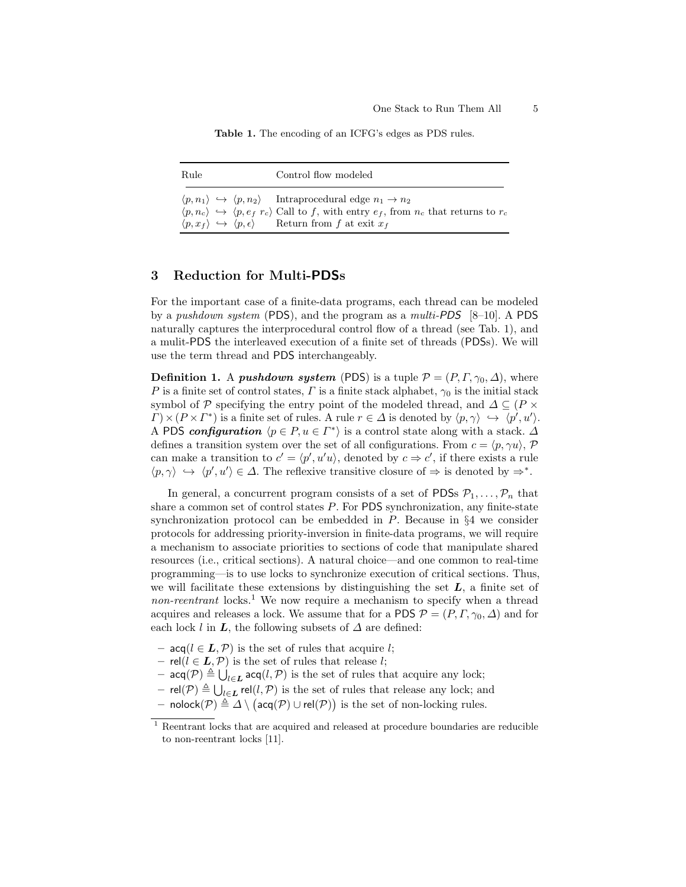Table 1. The encoding of an ICFG's edges as PDS rules.

| Rule | Control flow modeled                                                                                                                                                                                                                                                                                                                                   |
|------|--------------------------------------------------------------------------------------------------------------------------------------------------------------------------------------------------------------------------------------------------------------------------------------------------------------------------------------------------------|
|      | $\langle p, n_1 \rangle \leftrightarrow \langle p, n_2 \rangle$ Intraprocedural edge $n_1 \rightarrow n_2$<br>$\langle p, n_c \rangle \leftrightarrow \langle p, e_f   r_c \rangle$ Call to f, with entry $e_f$ , from $n_c$ that returns to $r_c$<br>$\langle p, x_f \rangle \leftrightarrow \langle p, \epsilon \rangle$ Return from f at exit $x_f$ |

# 3 Reduction for Multi-PDSs

For the important case of a finite-data programs, each thread can be modeled by a pushdown system (PDS), and the program as a multi-PDS  $[8-10]$ . A PDS naturally captures the interprocedural control flow of a thread (see Tab. 1), and a mulit-PDS the interleaved execution of a finite set of threads (PDSs). We will use the term thread and PDS interchangeably.

**Definition 1.** A *pushdown system* (PDS) is a tuple  $P = (P, \Gamma, \gamma_0, \Delta)$ , where P is a finite set of control states,  $\Gamma$  is a finite stack alphabet,  $\gamma_0$  is the initial stack symbol of P specifying the entry point of the modeled thread, and  $\Delta \subseteq (P \times$  $\Gamma$  \ \le (P \le T<sup>\*</sup>) is a finite set of rules. A rule  $r \in \Delta$  is denoted by  $\langle p, \gamma \rangle \leftrightarrow \langle p', u' \rangle$ . A PDS configuration  $\langle p \in P, u \in \Gamma^* \rangle$  is a control state along with a stack.  $\Delta$ defines a transition system over the set of all configurations. From  $c = \langle p, \gamma u \rangle$ , P can make a transition to  $c' = \langle p', u'u \rangle$ , denoted by  $c \Rightarrow c'$ , if there exists a rule  $\langle p, \gamma \rangle \leftrightarrow \langle p', u' \rangle \in \Delta$ . The reflexive transitive closure of  $\Rightarrow$  is denoted by  $\Rightarrow^*$ .

In general, a concurrent program consists of a set of PDSs  $P_1, \ldots, P_n$  that share a common set of control states P. For PDS synchronization, any finite-state synchronization protocol can be embedded in  $P$ . Because in  $\S 4$  we consider protocols for addressing priority-inversion in finite-data programs, we will require a mechanism to associate priorities to sections of code that manipulate shared resources (i.e., critical sections). A natural choice—and one common to real-time programming—is to use locks to synchronize execution of critical sections. Thus, we will facilitate these extensions by distinguishing the set  $L$ , a finite set of non-reentrant locks.<sup>1</sup> We now require a mechanism to specify when a thread acquires and releases a lock. We assume that for a PDS  $\mathcal{P} = (P, \Gamma, \gamma_0, \Delta)$  and for each lock l in  $\mathbf{L}$ , the following subsets of  $\Delta$  are defined:

- $\textsf{acq}(l \in \mathbf{L}, \mathcal{P})$  is the set of rules that acquire l;
- rel( $l$  ∈  $L, P$ ) is the set of rules that release  $l$ ;
- $-$  acq(P)  $\triangleq \bigcup_{l\in L}$  acq(l, P) is the set of rules that acquire any lock;
- $-$  rel( $P$ )  $\triangleq \bigcup_{l \in L}$  rel( $l, P$ ) is the set of rules that release any lock; and
- nolock $(P) \triangleq ∆ \setminus (a c q(P) ∪ rel(P))$  is the set of non-locking rules.

 $^{\rm 1}$  Reentrant locks that are acquired and released at procedure boundaries are reducible to non-reentrant locks [11].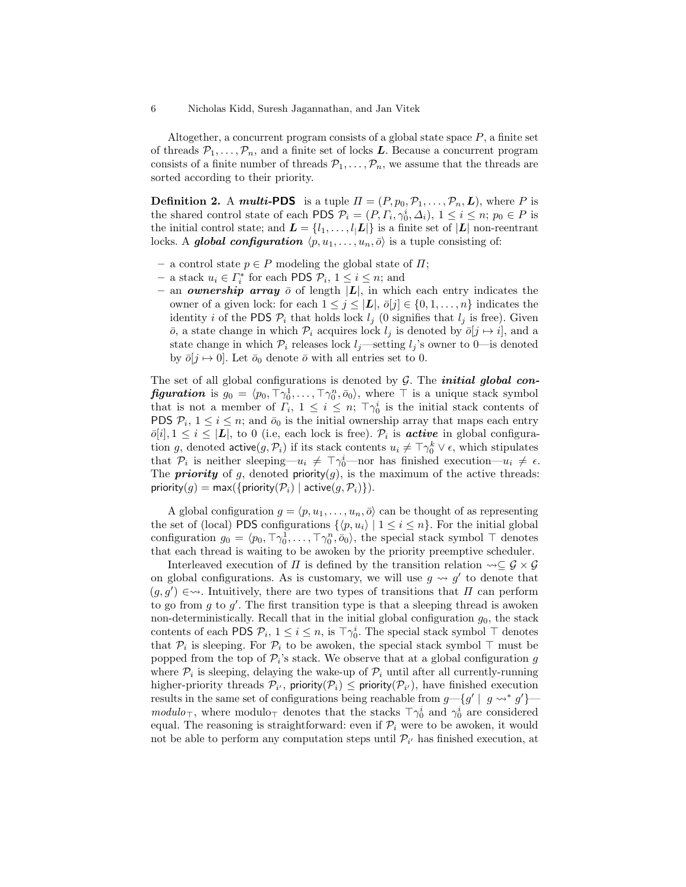Altogether, a concurrent program consists of a global state space P, a finite set of threads  $P_1, \ldots, P_n$ , and a finite set of locks L. Because a concurrent program consists of a finite number of threads  $P_1, \ldots, P_n$ , we assume that the threads are sorted according to their priority.

**Definition 2.** A *multi-PDS* is a tuple  $\Pi = (P, p_0, P_1, \dots, P_n, L)$ , where P is the shared control state of each PDS  $\mathcal{P}_i = (P, \Gamma_i, \gamma_0^i, \Delta_i), 1 \leq i \leq n; p_0 \in P$  is the initial control state; and  $\mathbf{L} = \{l_1, \ldots, l_l \mathbf{L} | \}$  is a finite set of  $|\mathbf{L}|$  non-reentrant locks. A global configuration  $\langle p, u_1, \ldots, u_n, \overline{o} \rangle$  is a tuple consisting of:

- a control state  $p \in P$  modeling the global state of  $\Pi$ ;
- − a stack  $u_i \in \Gamma_i^*$  for each PDS  $\mathcal{P}_i$ ,  $1 \leq i \leq n$ ; and
- an **ownership array**  $\bar{o}$  of length  $|L|$ , in which each entry indicates the owner of a given lock: for each  $1 \leq j \leq |L|$ ,  $\bar{o}[j] \in \{0, 1, \ldots, n\}$  indicates the identity i of the PDS  $P_i$  that holds lock  $l_j$  (0 signifies that  $l_j$  is free). Given  $\overline{o}$ , a state change in which  $\mathcal{P}_i$  acquires lock  $l_j$  is denoted by  $\overline{o}[j \mapsto i]$ , and a state change in which  $\mathcal{P}_i$  releases lock  $l_i$ —setting  $l_i$ 's owner to 0—is denoted by  $\bar{o}[j \mapsto 0]$ . Let  $\bar{o}_0$  denote  $\bar{o}$  with all entries set to 0.

The set of all global configurations is denoted by  $G$ . The *initial global con***figuration** is  $g_0 = \langle p_0, \top \gamma_0^1, \ldots, \top \gamma_0^n, \bar{o}_0 \rangle$ , where  $\top$  is a unique stack symbol that is not a member of  $\overline{\Gamma}_i$ ,  $1 \leq i \leq n$ ;  $\overline{\Gamma} \gamma_0^i$  is the initial stack contents of PDS  $P_i$ ,  $1 \leq i \leq n$ ; and  $\bar{o}_0$  is the initial ownership array that maps each entry  $\bar{o}[i], 1 \leq i \leq |\mathbf{L}|$ , to 0 (i.e, each lock is free).  $\mathcal{P}_i$  is **active** in global configuration g, denoted  $\textsf{active}(g, \mathcal{P}_i)$  if its stack contents  $u_i \neq \top \gamma_0^k \vee \epsilon$ , which stipulates that  $\mathcal{P}_i$  is neither sleeping— $u_i \neq \top \gamma_0^i$ —nor has finished execution— $u_i \neq \epsilon$ . The **priority** of g, denoted **priority** $(g)$ , is the maximum of the active threads: priority(g) = max({priority( $P_i$ ) | active(g,  $P_i$ )}).

A global configuration  $g = \langle p, u_1, \ldots, u_n, \overline{o} \rangle$  can be thought of as representing the set of (local) PDS configurations  $\{\langle p, u_i \rangle | 1 \le i \le n\}$ . For the initial global configuration  $g_0 = \langle p_0, \top \gamma_0^1, \ldots, \top \gamma_0^n, \bar{o}_0 \rangle$ , the special stack symbol  $\top$  denotes that each thread is waiting to be awoken by the priority preemptive scheduler.

Interleaved execution of  $\Pi$  is defined by the transition relation  $\leadsto \subseteq \mathcal{G} \times \mathcal{G}$ on global configurations. As is customary, we will use  $g \leadsto g'$  to denote that  $(g, g') \in \rightarrow$ . Intuitively, there are two types of transitions that  $\Pi$  can perform to go from  $g$  to  $g'$ . The first transition type is that a sleeping thread is awoken non-deterministically. Recall that in the initial global configuration  $g_0$ , the stack contents of each PDS  $\mathcal{P}_i$ ,  $1 \leq i \leq n$ , is  $\top \gamma_0^i$ . The special stack symbol  $\top$  denotes that  $\mathcal{P}_i$  is sleeping. For  $\mathcal{P}_i$  to be awoken, the special stack symbol  $\top$  must be popped from the top of  $\mathcal{P}_i$ 's stack. We observe that at a global configuration g where  $\mathcal{P}_i$  is sleeping, delaying the wake-up of  $\mathcal{P}_i$  until after all currently-running higher-priority threads  $\mathcal{P}_{i'}$ , priority $(\mathcal{P}_i) \leq$  priority $(\mathcal{P}_{i'})$ , have finished execution results in the same set of configurations being reachable from  $g \rightarrow g'$  |  $g \rightarrow g'$  |  $modulo_{\top}$ , where modulo<sub> $\top$ </sub> denotes that the stacks  $\top \gamma_0^i$  and  $\gamma_0^i$  are considered equal. The reasoning is straightforward: even if  $\mathcal{P}_i$  were to be awoken, it would not be able to perform any computation steps until  $\mathcal{P}_{i'}$  has finished execution, at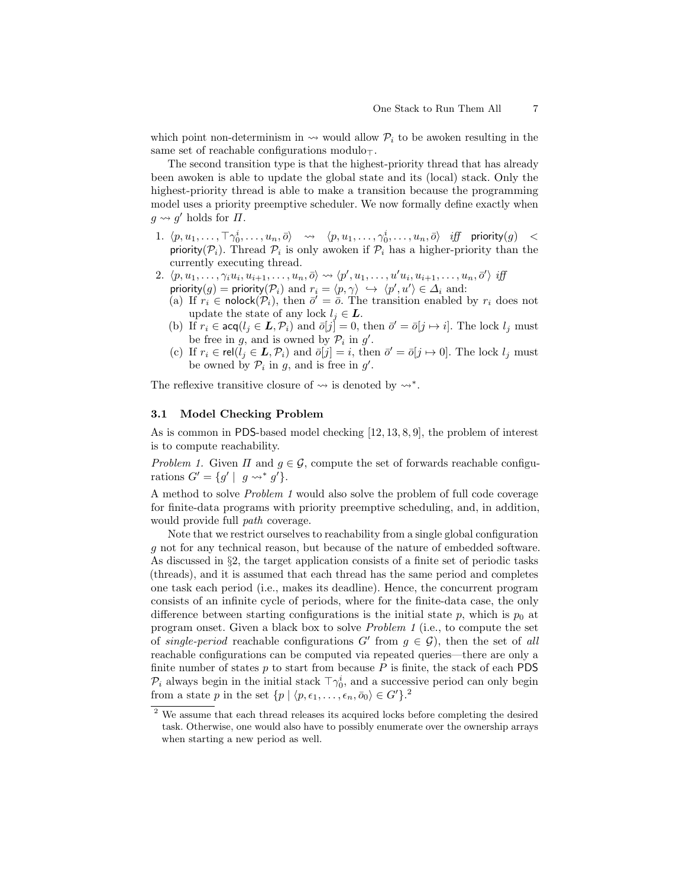which point non-determinism in  $\rightarrow$  would allow  $\mathcal{P}_i$  to be awoken resulting in the same set of reachable configurations modulo $\tau$ .

The second transition type is that the highest-priority thread that has already been awoken is able to update the global state and its (local) stack. Only the highest-priority thread is able to make a transition because the programming model uses a priority preemptive scheduler. We now formally define exactly when  $g \rightsquigarrow g'$  holds for  $\Pi$ .

- $1. \ \ \langle p, u_1, \ldots, \top \gamma_0^i, \ldots, u_n, \bar{o} \rangle \quad \leadsto \quad \langle p, u_1, \ldots, \gamma_0^i, \ldots, u_n, \bar{o} \rangle \quad \textit{iff} \quad \textsf{priority}(g) \quad \textit{<<}$ priority  $(\mathcal{P}_i)$ . Thread  $\mathcal{P}_i$  is only awoken if  $\mathcal{P}_i$  has a higher-priority than the currently executing thread.
- 2.  $\langle p, u_1, \ldots, \gamma_i u_i, u_{i+1}, \ldots, u_n, \overline{o} \rangle \rightsquigarrow \langle p', u_1, \ldots, u' u_i, u_{i+1}, \ldots, u_n, \overline{o}' \rangle$  iff priority $(g)$  = priority $(\mathcal{P}_i)$  and  $r_i = \langle p, \gamma \rangle \leftrightarrow \langle p', u' \rangle \in \Delta_i$  and:
	- (a) If  $r_i \in \text{nolock}(\mathcal{P}_i)$ , then  $\bar{\sigma}' = \bar{\sigma}$ . The transition enabled by  $r_i$  does not update the state of any lock  $l_j \in L$ .
	- (b) If  $r_i \in \text{acq}(l_j \in L, \mathcal{P}_i)$  and  $\overline{o}[j] = 0$ , then  $\overline{o'} = \overline{o}[j \mapsto i]$ . The lock  $l_j$  must be free in g, and is owned by  $\mathcal{P}_i$  in g'.
	- (c) If  $r_i \in \text{rel}(\tilde{l}_j \in L, \mathcal{P}_i)$  and  $\bar{o}[j] = i$ , then  $\bar{o}' = \bar{o}[j \mapsto 0]$ . The lock  $l_j$  must be owned by  $\mathcal{P}_i$  in g, and is free in g'.

The reflexive transitive closure of  $\rightsquigarrow$  is denoted by  $\rightsquigarrow^*$ .

## 3.1 Model Checking Problem

As is common in PDS-based model checking [12, 13, 8, 9], the problem of interest is to compute reachability.

Problem 1. Given  $\Pi$  and  $q \in \mathcal{G}$ , compute the set of forwards reachable configurations  $G' = \{g' \mid g \leadsto^* g'\}.$ 

A method to solve Problem 1 would also solve the problem of full code coverage for finite-data programs with priority preemptive scheduling, and, in addition, would provide full *path* coverage.

Note that we restrict ourselves to reachability from a single global configuration g not for any technical reason, but because of the nature of embedded software. As discussed in §2, the target application consists of a finite set of periodic tasks (threads), and it is assumed that each thread has the same period and completes one task each period (i.e., makes its deadline). Hence, the concurrent program consists of an infinite cycle of periods, where for the finite-data case, the only difference between starting configurations is the initial state  $p$ , which is  $p_0$  at program onset. Given a black box to solve Problem 1 (i.e., to compute the set of single-period reachable configurations  $G'$  from  $g \in \mathcal{G}$ , then the set of all reachable configurations can be computed via repeated queries—there are only a finite number of states  $p$  to start from because  $P$  is finite, the stack of each PDS  $\mathcal{P}_i$  always begin in the initial stack  $\top \gamma_0^i$ , and a successive period can only begin from a state p in the set  $\{p \mid \langle p, \epsilon_1, \ldots, \epsilon_n, \bar{o}_0 \rangle \in G' \}$ .<sup>2</sup>

<sup>&</sup>lt;sup>2</sup> We assume that each thread releases its acquired locks before completing the desired task. Otherwise, one would also have to possibly enumerate over the ownership arrays when starting a new period as well.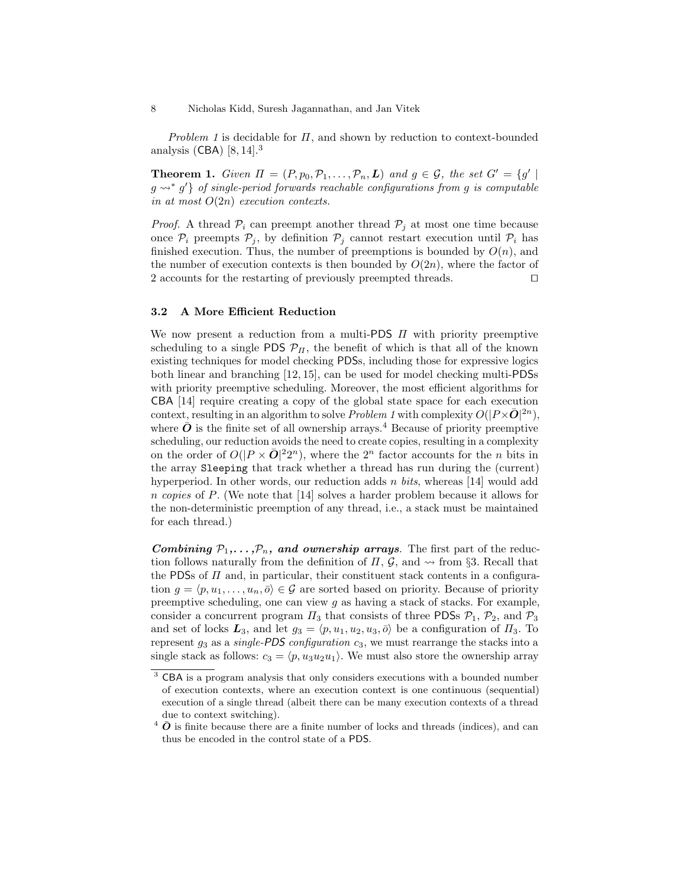Problem 1 is decidable for  $\Pi$ , and shown by reduction to context-bounded analysis  $(CBA)$  [8, 14].<sup>3</sup>

**Theorem 1.** Given  $\Pi = (P, p_0, P_1, \ldots, P_n, L)$  and  $g \in \mathcal{G}$ , the set  $G' = \{g' \mid$  $g \leadsto^* g'$  of single-period forwards reachable configurations from g is computable in at most  $O(2n)$  execution contexts.

*Proof.* A thread  $P_i$  can preempt another thread  $P_j$  at most one time because once  $P_i$  preempts  $P_j$ , by definition  $P_j$  cannot restart execution until  $P_i$  has finished execution. Thus, the number of preemptions is bounded by  $O(n)$ , and the number of execution contexts is then bounded by  $O(2n)$ , where the factor of 2 accounts for the restarting of previously preempted threads.  $\Box$ 

## 3.2 A More Efficient Reduction

We now present a reduction from a multi-PDS  $\Pi$  with priority preemptive scheduling to a single PDS  $\mathcal{P}_{\Pi}$ , the benefit of which is that all of the known existing techniques for model checking PDSs, including those for expressive logics both linear and branching [12, 15], can be used for model checking multi-PDSs with priority preemptive scheduling. Moreover, the most efficient algorithms for CBA [14] require creating a copy of the global state space for each execution context, resulting in an algorithm to solve Problem 1 with complexity  $O(|P \times \bar{O}|^{2n})$ , where  $\bar{\boldsymbol{O}}$  is the finite set of all ownership arrays.<sup>4</sup> Because of priority preemptive scheduling, our reduction avoids the need to create copies, resulting in a complexity on the order of  $O(|P \times \bar{O}|^22^n)$ , where the  $2^n$  factor accounts for the *n* bits in the array Sleeping that track whether a thread has run during the (current) hyperperiod. In other words, our reduction adds  $n \; bits$ , whereas [14] would add n copies of P. (We note that [14] solves a harder problem because it allows for the non-deterministic preemption of any thread, i.e., a stack must be maintained for each thread.)

Combining  $P_1,\ldots,P_n$ , and ownership arrays. The first part of the reduction follows naturally from the definition of  $\Pi$ ,  $\mathcal{G}$ , and  $\sim$  from §3. Recall that the PDSs of  $\Pi$  and, in particular, their constituent stack contents in a configuration  $g = \langle p, u_1, \ldots, u_n, \overline{o} \rangle \in \mathcal{G}$  are sorted based on priority. Because of priority preemptive scheduling, one can view  $g$  as having a stack of stacks. For example, consider a concurrent program  $\Pi_3$  that consists of three PDSs  $P_1$ ,  $P_2$ , and  $P_3$ and set of locks  $\mathbf{L}_3$ , and let  $g_3 = \langle p, u_1, u_2, u_3, \overline{o} \rangle$  be a configuration of  $\Pi_3$ . To represent  $g_3$  as a *single-PDS configuration*  $c_3$ , we must rearrange the stacks into a single stack as follows:  $c_3 = \langle p, u_3u_2u_1 \rangle$ . We must also store the ownership array

<sup>&</sup>lt;sup>3</sup> CBA is a program analysis that only considers executions with a bounded number of execution contexts, where an execution context is one continuous (sequential) execution of a single thread (albeit there can be many execution contexts of a thread due to context switching).

 $4\bar{\mathbf{O}}$  is finite because there are a finite number of locks and threads (indices), and can thus be encoded in the control state of a PDS.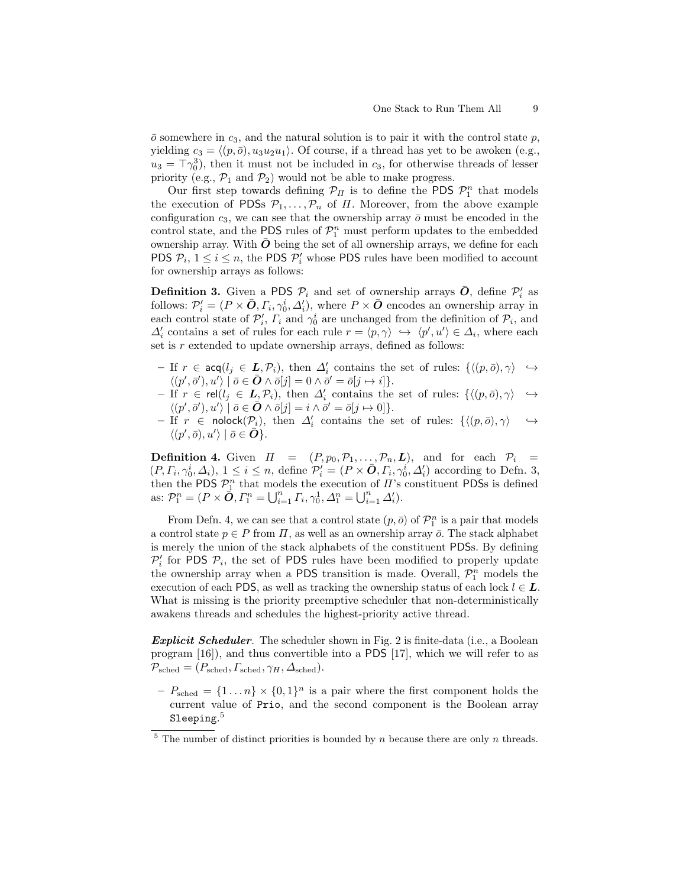$\bar{o}$  somewhere in  $c_3$ , and the natural solution is to pair it with the control state p, yielding  $c_3 = \langle (p, \bar{0}), u_3u_2u_1 \rangle$ . Of course, if a thread has yet to be awoken (e.g.,  $u_3 = \top \gamma_0^3$ , then it must not be included in  $c_3$ , for otherwise threads of lesser priority (e.g.,  $\mathcal{P}_1$  and  $\mathcal{P}_2$ ) would not be able to make progress.

Our first step towards defining  $\mathcal{P}_{\Pi}$  is to define the PDS  $\mathcal{P}_{1}^{n}$  that models the execution of PDSs  $\mathcal{P}_1, \ldots, \mathcal{P}_n$  of  $\Pi$ . Moreover, from the above example configuration  $c_3$ , we can see that the ownership array  $\bar{o}$  must be encoded in the control state, and the PDS rules of  $\mathcal{P}_1^n$  must perform updates to the embedded ownership array. With  $\bar{O}$  being the set of all ownership arrays, we define for each **PDS**  $\mathcal{P}_i$ ,  $1 \leq i \leq n$ , the **PDS**  $\mathcal{P}'_i$  whose **PDS** rules have been modified to account for ownership arrays as follows:

**Definition 3.** Given a PDS  $\mathcal{P}_i$  and set of ownership arrays  $\bar{\boldsymbol{O}}$ , define  $\mathcal{P}'_i$  as follows:  $\mathcal{P}'_i = (P \times \bar{O}, \Gamma_i, \gamma_0^i, \Delta'_i)$ , where  $P \times \bar{O}$  encodes an ownership array in each control state of  $\mathcal{P}'_i$ ,  $\Gamma_i$  and  $\gamma_0^i$  are unchanged from the definition of  $\mathcal{P}_i$ , and  $\Delta_i'$  contains a set of rules for each rule  $r = \langle p, \gamma \rangle \ \hookrightarrow \ \langle p', u' \rangle \in \Delta_i$ , where each set is  $r$  extended to update ownership arrays, defined as follows:

- $-$  If  $r \in \text{acq}(l_j \in \underline{L}, \mathcal{P}_i)$ , then  $\Delta'_i$  contains the set of rules:  $\{ \langle (p, \overline{o}), \gamma \rangle \rightarrow$  $\langle (p',\bar{o}'), u' \rangle \mid \bar{o} \in \bar{O} \wedge \bar{o}[j] = 0 \wedge \bar{o}' = \bar{o}[j \mapsto i] \}.$
- $-$  If  $r \in rel(l_j \in L_j, \mathcal{P}_i)$ , then  $\Delta'_i$  contains the set of rules:  $\{\langle (p, \bar{o}), \gamma \rangle \rightarrow$  $\langle (p',\bar{o}'), u' \rangle \mid \bar{o} \in \bar{O} \wedge \bar{o}[j] = i \wedge \bar{o}' = \bar{o}[j \mapsto 0].$
- $-$  If  $r$  ∈ nolock( $\mathcal{P}_i$ ), then  $\Delta'_i$  contains the set of rules: { $\langle (p, \bar{o}), \gamma \rangle$   $\rightarrow$  $\langle (p',\bar{o}), u' \rangle \mid \bar{o} \in \overline{\mathbf{O}} \}.$

**Definition 4.** Given  $\Pi = (P, p_0, P_1, \ldots, P_n, L)$ , and for each  $P_i =$  $(P, \Gamma_i, \gamma_0^i, \Delta_i), 1 \leq i \leq n$ , define  $\mathcal{P}'_i = (P \times \bar{\boldsymbol{O}}, \Gamma_i, \gamma_0^i, \Delta_i')$  according to Defn. 3, then the PDS  $\mathcal{P}_1^n$  that models the execution of  $\Pi$ 's constituent PDSs is defined as:  $\mathcal{P}_1^n = (P \times \mathbf{\vec{O}}, \Gamma_1^n = \bigcup_{i=1}^n \Gamma_i, \gamma_0^1, \Delta_1^n = \bigcup_{i=1}^n \Delta_i'.$ 

From Defn. 4, we can see that a control state  $(p, \bar{o})$  of  $\mathcal{P}_1^n$  is a pair that models a control state  $p \in P$  from  $\Pi$ , as well as an ownership array  $\bar{o}$ . The stack alphabet is merely the union of the stack alphabets of the constituent PDSs. By defining  $\mathcal{P}'_i$  for PDS  $\mathcal{P}_i$ , the set of PDS rules have been modified to properly update the ownership array when a PDS transition is made. Overall,  $\mathcal{P}_1^n$  models the execution of each PDS, as well as tracking the ownership status of each lock  $l \in L$ . What is missing is the priority preemptive scheduler that non-deterministically awakens threads and schedules the highest-priority active thread.

Explicit Scheduler. The scheduler shown in Fig. 2 is finite-data (i.e., a Boolean program [16]), and thus convertible into a PDS [17], which we will refer to as  $\mathcal{P}_{\text{sched}} = (P_{\text{sched}}, P_{\text{sched}}, \gamma_H, \Delta_{\text{sched}}).$ 

 $-P_{\text{sched}} = \{1 \dots n\} \times \{0,1\}^n$  is a pair where the first component holds the current value of Prio, and the second component is the Boolean array  $\mathrm{Sleeping.}^5$ 

 $5$  The number of distinct priorities is bounded by n because there are only n threads.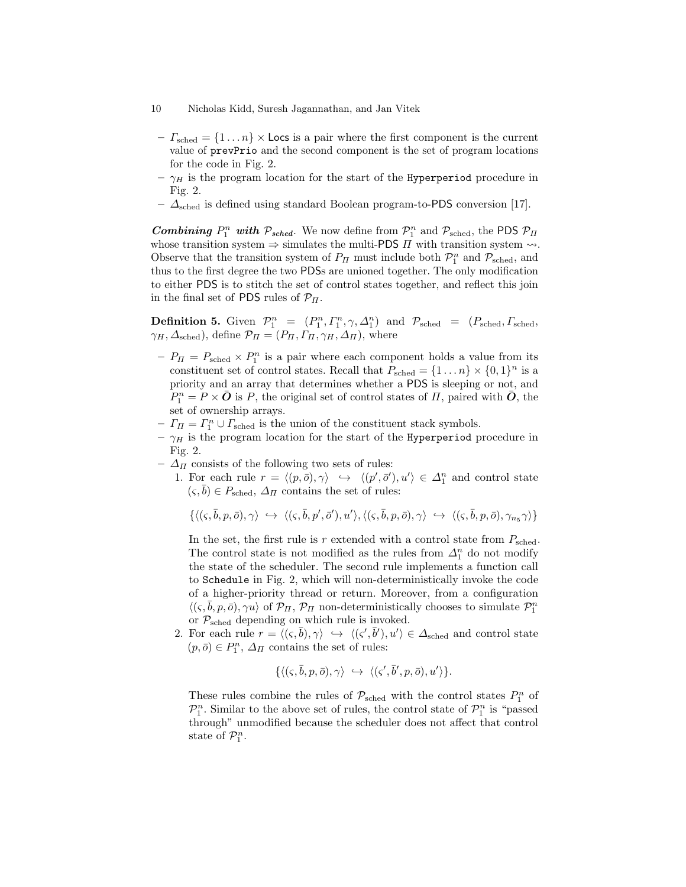- 10 Nicholas Kidd, Suresh Jagannathan, and Jan Vitek
	- $-I_{\text{sched}} = \{1 \dots n\} \times \text{Locs}$  is a pair where the first component is the current value of prevPrio and the second component is the set of program locations for the code in Fig. 2.
- $-\gamma_H$  is the program location for the start of the Hyperperiod procedure in Fig. 2.
- $\Delta_{\rm sched}$  is defined using standard Boolean program-to-PDS conversion [17].

**Combining**  $P_1^n$  with  $P_{sched}$ . We now define from  $P_1^n$  and  $P_{sched}$ , the PDS  $P_{\Pi}$ whose transition system  $\Rightarrow$  simulates the multi-PDS  $\Pi$  with transition system  $\rightsquigarrow$ . Observe that the transition system of  $P_{\Pi}$  must include both  $\mathcal{P}_1^n$  and  $\mathcal{P}_{\text{sched}}$ , and thus to the first degree the two PDSs are unioned together. The only modification to either PDS is to stitch the set of control states together, and reflect this join in the final set of PDS rules of  $\mathcal{P}_{\Pi}$ .

**Definition 5.** Given  $\mathcal{P}_1^n = (P_1^n, \Gamma_1^n, \gamma, \Delta_1^n)$  and  $\mathcal{P}_{\text{sched}} = (P_{\text{sched}}, \Gamma_{\text{sched}})$  $\gamma_H, \Delta_{\text{sched}}$ , define  $\mathcal{P}_{\Pi} = (P_{\Pi}, \Gamma_{\Pi}, \gamma_{H}, \Delta_{\Pi})$ , where

- $-P_{\Pi} = P_{\text{sched}} \times P_1^n$  is a pair where each component holds a value from its constituent set of control states. Recall that  $P_{\text{sched}} = \{1 \dots n\} \times \{0, 1\}^n$  is a priority and an array that determines whether a PDS is sleeping or not, and  $P_1^n = P \times \bar{O}$  is P, the original set of control states of  $\Pi$ , paired with  $\bar{O}$ , the set of ownership arrays.
- $-I<sub>\Pi</sub> = I<sub>1</sub><sup>n</sup> \cup I<sub>sched</sub>$  is the union of the constituent stack symbols.
- $-\gamma_H$  is the program location for the start of the Hyperperiod procedure in Fig. 2.
- $\Delta$ <sub>Π</sub> consists of the following two sets of rules:
	- 1. For each rule  $r = \langle (p, \bar{o}), \gamma \rangle \leftrightarrow \langle (p', \bar{o}'), u' \rangle \in \Delta_1^n$  and control state  $(\varsigma, b) \in P_{\text{sched}}, \Delta_{\Pi}$  contains the set of rules:

$$
\{\langle (\varsigma,\bar{b},p,\bar{o}), \gamma \rangle \; \hookrightarrow \; \langle (\varsigma,\bar{b},p',\bar{o}'), u' \rangle, \langle (\varsigma,\bar{b},p,\bar{o}), \gamma \rangle \; \hookrightarrow \; \langle (\varsigma,\bar{b},p,\bar{o}), \gamma_{n_5} \gamma \rangle\}
$$

In the set, the first rule is r extended with a control state from  $P_{\rm sched}$ . The control state is not modified as the rules from  $\Delta_1^n$  do not modify the state of the scheduler. The second rule implements a function call to Schedule in Fig. 2, which will non-deterministically invoke the code of a higher-priority thread or return. Moreover, from a configuration  $\langle (\varsigma, \bar{b}, p, \bar{o}), \gamma u \rangle$  of  $\mathcal{P}_\Pi$ ,  $\mathcal{P}_\Pi$  non-deterministically chooses to simulate  $\mathcal{P}_1^n$ or  $P_{\rm sched}$  depending on which rule is invoked.

2. For each rule  $r = \langle (\zeta, \bar{b}), \gamma \rangle \iff \langle (\zeta', \bar{b}'), u' \rangle \in \Delta_{\text{sched}}$  and control state  $(p, \bar{o}) \in P_1^n$ ,  $\Delta_{\Pi}$  contains the set of rules:

$$
\{\langle (\varsigma,\bar{b},p,\bar{o}),\gamma \rangle \; \hookrightarrow \; \langle (\varsigma',\bar{b}',p,\bar{o}),u' \rangle\}.
$$

These rules combine the rules of  $\mathcal{P}_{\text{sched}}$  with the control states  $P_1^n$  of  $\mathcal{P}_1^n$ . Similar to the above set of rules, the control state of  $\mathcal{P}_1^n$  is "passed through" unmodified because the scheduler does not affect that control state of  $\mathcal{P}_1^n$ .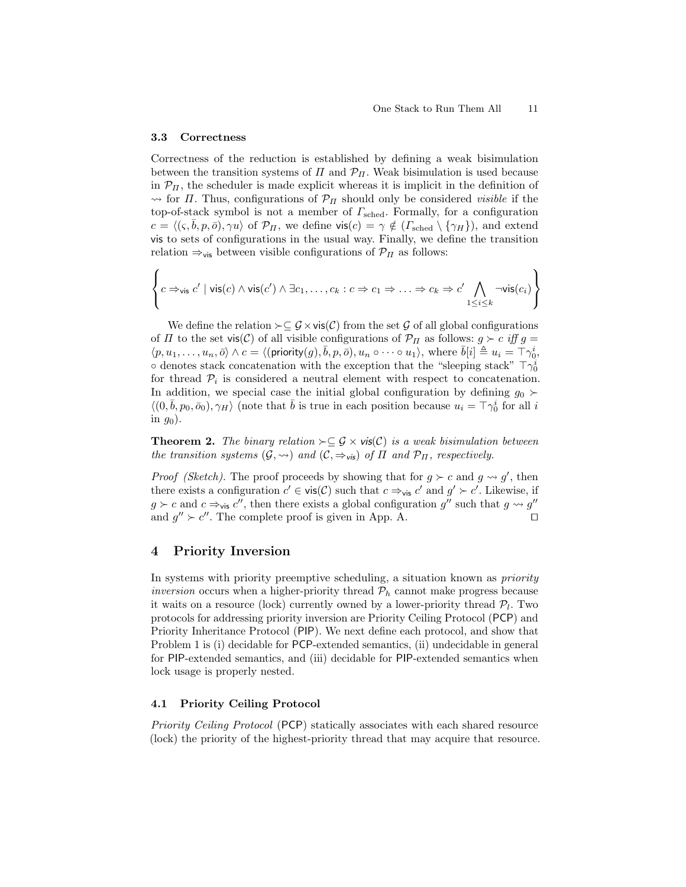### 3.3 Correctness

Correctness of the reduction is established by defining a weak bisimulation between the transition systems of  $\Pi$  and  $\mathcal{P}_{\Pi}$ . Weak bisimulation is used because in  $\mathcal{P}_{\Pi}$ , the scheduler is made explicit whereas it is implicit in the definition of  $\rightarrow$  for *Π*. Thus, configurations of  $\mathcal{P}_{\Pi}$  should only be considered *visible* if the top-of-stack symbol is not a member of  $\Gamma_{\rm sched}$ . Formally, for a configuration  $c = \langle (\varsigma, \bar{b}, p, \bar{o}), \gamma u \rangle$  of  $\mathcal{P}_{\Pi}$ , we define vis $(c) = \gamma \notin (\Gamma_{\text{sched}} \setminus {\gamma_H}),$  and extend vis to sets of configurations in the usual way. Finally, we define the transition relation  $\Rightarrow$ <sub>vis</sub> between visible configurations of  $\mathcal{P}_{\Pi}$  as follows:

$$
\left\{c \Rightarrow_{\mathsf{vis}} c' \mid \mathsf{vis}(c) \land \mathsf{vis}(c') \land \exists c_1, \ldots, c_k : c \Rightarrow c_1 \Rightarrow \ldots \Rightarrow c_k \Rightarrow c' \bigwedge_{1 \leq i \leq k} \neg \mathsf{vis}(c_i)\right\}
$$

We define the relation  $\succ \subseteq \mathcal{G} \times \mathsf{vis}(\mathcal{C})$  from the set  $\mathcal G$  of all global configurations of  $\Pi$  to the set vis(C) of all visible configurations of  $\mathcal{P}_{\Pi}$  as follows:  $g \succ c$  iff  $g =$  $\langle p, u_1, \ldots, u_n, \bar{o} \rangle \wedge c = \langle (\mathsf{priority}(g), \bar{b}, p, \bar{o}), u_n \circ \cdots \circ u_1 \rangle, \text{ where } \bar{b}[i] \triangleq u_i = \tilde{\top} \gamma_0^i,$  $\circ$  denotes stack concatenation with the exception that the "sleeping stack"  $\top \gamma_0^i$ for thread  $P_i$  is considered a neutral element with respect to concatenation. In addition, we special case the initial global configuration by defining  $g_0 \succ$  $\langle (0, \bar{b}, p_0, \bar{o}_0), \gamma_H \rangle$  (note that  $\bar{b}$  is true in each position because  $u_i = \top \gamma_0^i$  for all i in  $g_0$ ).

**Theorem 2.** The binary relation  $\succ \subseteq \mathcal{G} \times \mathsf{vis}(\mathcal{C})$  is a weak bisimulation between the transition systems  $(G, \leadsto)$  and  $(C, \Rightarrow_{\mathsf{vis}})$  of  $\Pi$  and  $\mathcal{P}_{\Pi}$ , respectively.

*Proof (Sketch)*. The proof proceeds by showing that for  $g \succ c$  and  $g \leadsto g'$ , then there exists a configuration  $c' \in \mathsf{vis}(\mathcal{C})$  such that  $c \Rightarrow_{\mathsf{vis}} c'$  and  $g' \succ c'$ . Likewise, if  $g \succ c$  and  $c \Rightarrow_{\mathsf{vis}} c''$ , then there exists a global configuration  $g''$  such that  $g \leadsto g''$ and  $g'' > c''$ . The complete proof is given in App. A.

# 4 Priority Inversion

In systems with priority preemptive scheduling, a situation known as priority inversion occurs when a higher-priority thread  $P_h$  cannot make progress because it waits on a resource (lock) currently owned by a lower-priority thread  $\mathcal{P}_l$ . Two protocols for addressing priority inversion are Priority Ceiling Protocol (PCP) and Priority Inheritance Protocol (PIP). We next define each protocol, and show that Problem 1 is (i) decidable for PCP-extended semantics, (ii) undecidable in general for PIP-extended semantics, and (iii) decidable for PIP-extended semantics when lock usage is properly nested.

## 4.1 Priority Ceiling Protocol

Priority Ceiling Protocol (PCP) statically associates with each shared resource (lock) the priority of the highest-priority thread that may acquire that resource.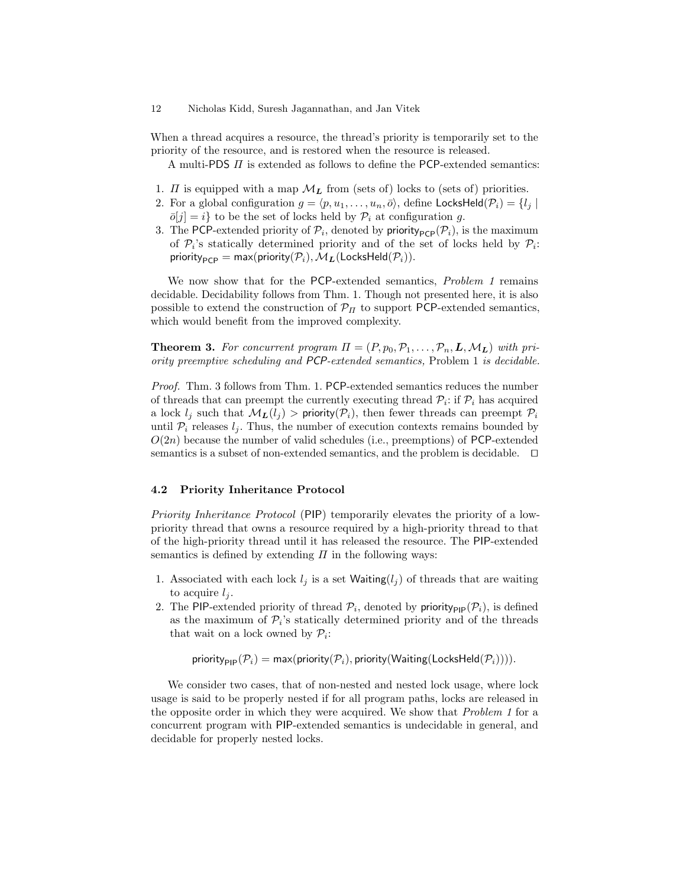When a thread acquires a resource, the thread's priority is temporarily set to the priority of the resource, and is restored when the resource is released.

A multi-PDS  $\Pi$  is extended as follows to define the PCP-extended semantics:

- 1.  $\Pi$  is equipped with a map  $\mathcal{M}_{L}$  from (sets of) locks to (sets of) priorities.
- 2. For a global configuration  $g = \langle p, u_1, \ldots, u_n, \overline{o} \rangle$ , define LocksHeld $(\mathcal{P}_i) = \{l_j |$  $\overline{o}[j] = i$  to be the set of locks held by  $\mathcal{P}_i$  at configuration g.
- 3. The PCP-extended priority of  $\mathcal{P}_i$ , denoted by priority<sub>PCP</sub> $(\mathcal{P}_i)$ , is the maximum of  $\mathcal{P}_i$ 's statically determined priority and of the set of locks held by  $\mathcal{P}_i$ :  $\textsf{priority}_{\textsf{PCP}} = \textsf{max}(\textsf{priority}(\mathcal{P}_i), \mathcal{M}_{\textbf{\textit{L}}}(\textsf{LocksHeld}(\mathcal{P}_i)).$

We now show that for the PCP-extended semantics, Problem 1 remains decidable. Decidability follows from Thm. 1. Though not presented here, it is also possible to extend the construction of  $\mathcal{P}_{\Pi}$  to support PCP-extended semantics, which would benefit from the improved complexity.

**Theorem 3.** For concurrent program  $\Pi = (P, p_0, P_1, \ldots, P_n, L, M_L)$  with priority preemptive scheduling and PCP-extended semantics, Problem 1 is decidable.

Proof. Thm. 3 follows from Thm. 1. PCP-extended semantics reduces the number of threads that can preempt the currently executing thread  $\mathcal{P}_i$ : if  $\mathcal{P}_i$  has acquired a lock  $l_i$  such that  $\mathcal{M}_L(l_i) > \text{priority}(\mathcal{P}_i)$ , then fewer threads can preempt  $\mathcal{P}_i$ until  $P_i$  releases  $l_i$ . Thus, the number of execution contexts remains bounded by  $O(2n)$  because the number of valid schedules (i.e., preemptions) of PCP-extended semantics is a subset of non-extended semantics, and the problem is decidable.  $\Box$ 

### 4.2 Priority Inheritance Protocol

Priority Inheritance Protocol (PIP) temporarily elevates the priority of a lowpriority thread that owns a resource required by a high-priority thread to that of the high-priority thread until it has released the resource. The PIP-extended semantics is defined by extending  $\Pi$  in the following ways:

- 1. Associated with each lock  $l_i$  is a set Waiting( $l_i$ ) of threads that are waiting to acquire  $l_i$ .
- 2. The PIP-extended priority of thread  $P_i$ , denoted by priority<sub>PIP</sub> $(P_i)$ , is defined as the maximum of  $\mathcal{P}_i$ 's statically determined priority and of the threads that wait on a lock owned by  $P_i$ :

priority<sub>PIP</sub>( $\mathcal{P}_i$ ) = max(priority( $\mathcal{P}_i$ ), priority(Waiting(LocksHeld( $\mathcal{P}_i$ )))).

We consider two cases, that of non-nested and nested lock usage, where lock usage is said to be properly nested if for all program paths, locks are released in the opposite order in which they were acquired. We show that Problem 1 for a concurrent program with PIP-extended semantics is undecidable in general, and decidable for properly nested locks.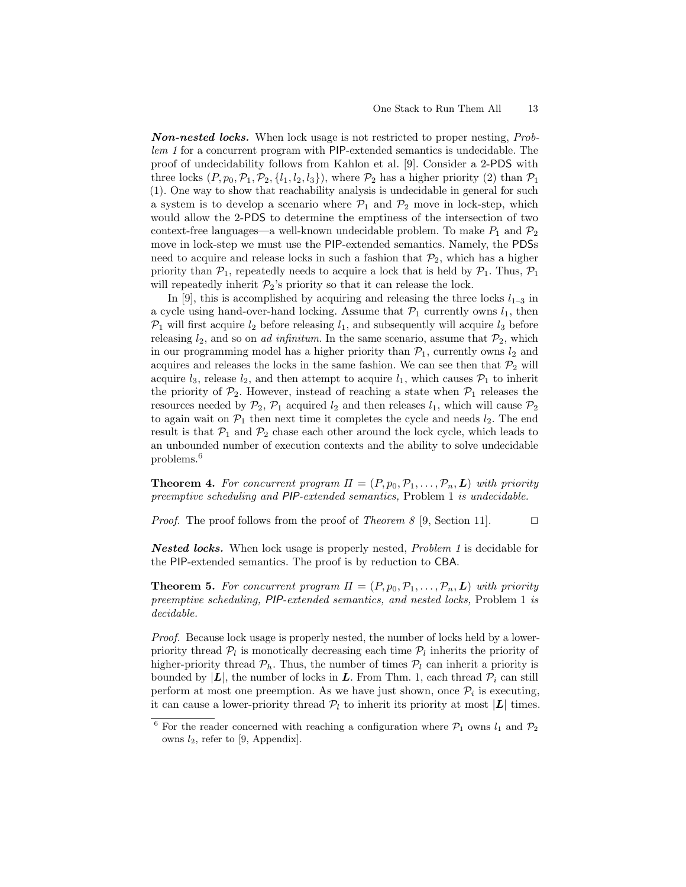Non-nested locks. When lock usage is not restricted to proper nesting, Problem 1 for a concurrent program with PIP-extended semantics is undecidable. The proof of undecidability follows from Kahlon et al. [9]. Consider a 2-PDS with three locks  $(P, p_0, \mathcal{P}_1, \mathcal{P}_2, \{l_1, l_2, l_3\})$ , where  $\mathcal{P}_2$  has a higher priority (2) than  $\mathcal{P}_1$ (1). One way to show that reachability analysis is undecidable in general for such a system is to develop a scenario where  $P_1$  and  $P_2$  move in lock-step, which would allow the 2-PDS to determine the emptiness of the intersection of two context-free languages—a well-known undecidable problem. To make  $P_1$  and  $P_2$ move in lock-step we must use the PIP-extended semantics. Namely, the PDSs need to acquire and release locks in such a fashion that  $\mathcal{P}_2$ , which has a higher priority than  $P_1$ , repeatedly needs to acquire a lock that is held by  $P_1$ . Thus,  $P_1$ will repeatedly inherit  $\mathcal{P}_2$ 's priority so that it can release the lock.

In [9], this is accomplished by acquiring and releasing the three locks  $l_{1-3}$  in a cycle using hand-over-hand locking. Assume that  $P_1$  currently owns  $l_1$ , then  $P_1$  will first acquire  $l_2$  before releasing  $l_1$ , and subsequently will acquire  $l_3$  before releasing  $l_2$ , and so on *ad infinitum*. In the same scenario, assume that  $\mathcal{P}_2$ , which in our programming model has a higher priority than  $P_1$ , currently owns  $l_2$  and acquires and releases the locks in the same fashion. We can see then that  $\mathcal{P}_2$  will acquire  $l_3$ , release  $l_2$ , and then attempt to acquire  $l_1$ , which causes  $\mathcal{P}_1$  to inherit the priority of  $\mathcal{P}_2$ . However, instead of reaching a state when  $\mathcal{P}_1$  releases the resources needed by  $\mathcal{P}_2$ ,  $\mathcal{P}_1$  acquired  $l_2$  and then releases  $l_1$ , which will cause  $\mathcal{P}_2$ to again wait on  $\mathcal{P}_1$  then next time it completes the cycle and needs  $l_2$ . The end result is that  $P_1$  and  $P_2$  chase each other around the lock cycle, which leads to an unbounded number of execution contexts and the ability to solve undecidable problems.<sup>6</sup>

**Theorem 4.** For concurrent program  $\Pi = (P, p_0, P_1, \ldots, P_n, L)$  with priority preemptive scheduling and PIP-extended semantics, Problem 1 is undecidable.

*Proof.* The proof follows from the proof of *Theorem 8* [9, Section 11].  $\Box$ 

Nested locks. When lock usage is properly nested, Problem 1 is decidable for the PIP-extended semantics. The proof is by reduction to CBA.

**Theorem 5.** For concurrent program  $\Pi = (P, p_0, P_1, \ldots, P_n, L)$  with priority preemptive scheduling, PIP-extended semantics, and nested locks, Problem 1 is decidable.

Proof. Because lock usage is properly nested, the number of locks held by a lowerpriority thread  $P_l$  is monotically decreasing each time  $P_l$  inherits the priority of higher-priority thread  $\mathcal{P}_h$ . Thus, the number of times  $\mathcal{P}_l$  can inherit a priority is bounded by  $|L|$ , the number of locks in L. From Thm. 1, each thread  $P_i$  can still perform at most one preemption. As we have just shown, once  $P_i$  is executing, it can cause a lower-priority thread  $P_l$  to inherit its priority at most  $|L|$  times.

 $^6$  For the reader concerned with reaching a configuration where  $\mathcal{P}_1$  owns  $l_1$  and  $\mathcal{P}_2$ owns  $l_2$ , refer to [9, Appendix].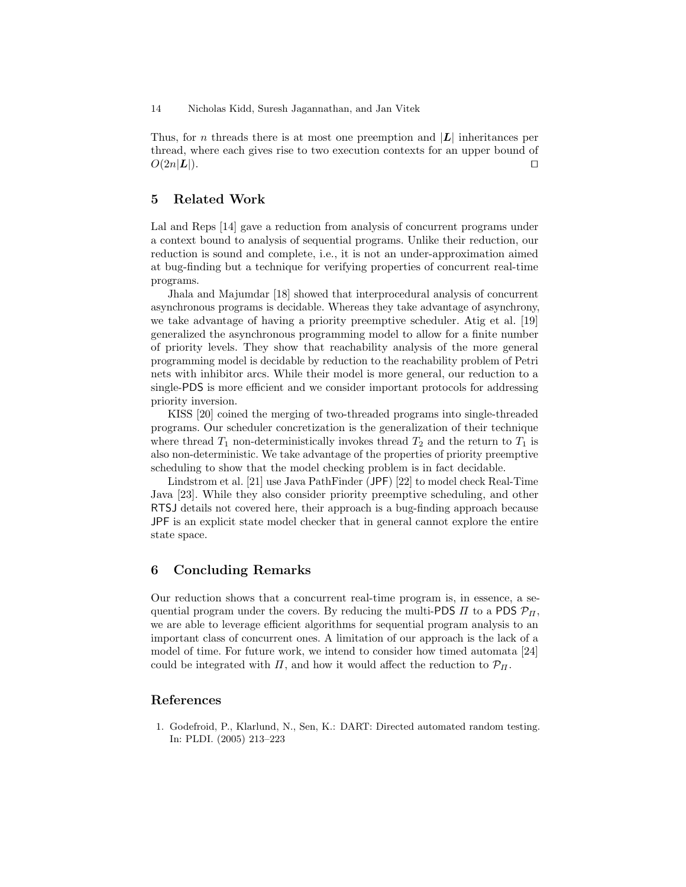Thus, for n threads there is at most one preemption and  $|L|$  inheritances per thread, where each gives rise to two execution contexts for an upper bound of  $O(2n|\mathbf{L}|).$ 

# 5 Related Work

Lal and Reps [14] gave a reduction from analysis of concurrent programs under a context bound to analysis of sequential programs. Unlike their reduction, our reduction is sound and complete, i.e., it is not an under-approximation aimed at bug-finding but a technique for verifying properties of concurrent real-time programs.

Jhala and Majumdar [18] showed that interprocedural analysis of concurrent asynchronous programs is decidable. Whereas they take advantage of asynchrony, we take advantage of having a priority preemptive scheduler. Atig et al. [19] generalized the asynchronous programming model to allow for a finite number of priority levels. They show that reachability analysis of the more general programming model is decidable by reduction to the reachability problem of Petri nets with inhibitor arcs. While their model is more general, our reduction to a single-PDS is more efficient and we consider important protocols for addressing priority inversion.

KISS [20] coined the merging of two-threaded programs into single-threaded programs. Our scheduler concretization is the generalization of their technique where thread  $T_1$  non-deterministically invokes thread  $T_2$  and the return to  $T_1$  is also non-deterministic. We take advantage of the properties of priority preemptive scheduling to show that the model checking problem is in fact decidable.

Lindstrom et al. [21] use Java PathFinder (JPF) [22] to model check Real-Time Java [23]. While they also consider priority preemptive scheduling, and other RTSJ details not covered here, their approach is a bug-finding approach because JPF is an explicit state model checker that in general cannot explore the entire state space.

# 6 Concluding Remarks

Our reduction shows that a concurrent real-time program is, in essence, a sequential program under the covers. By reducing the multi-PDS  $\Pi$  to a PDS  $\mathcal{P}_{\Pi}$ , we are able to leverage efficient algorithms for sequential program analysis to an important class of concurrent ones. A limitation of our approach is the lack of a model of time. For future work, we intend to consider how timed automata [24] could be integrated with  $\Pi$ , and how it would affect the reduction to  $\mathcal{P}_{\Pi}$ .

# References

1. Godefroid, P., Klarlund, N., Sen, K.: DART: Directed automated random testing. In: PLDI. (2005) 213–223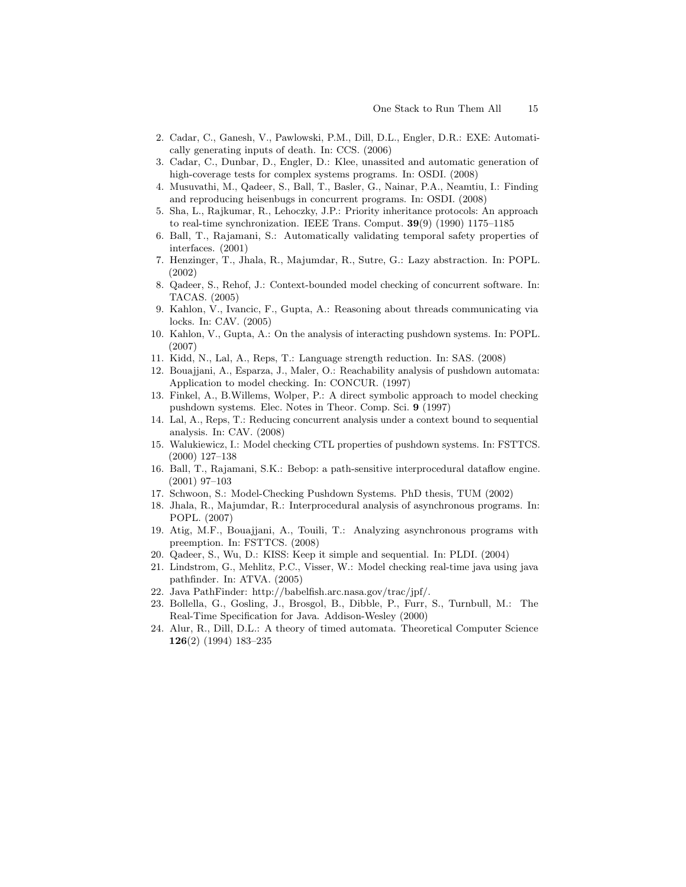- 2. Cadar, C., Ganesh, V., Pawlowski, P.M., Dill, D.L., Engler, D.R.: EXE: Automatically generating inputs of death. In: CCS. (2006)
- 3. Cadar, C., Dunbar, D., Engler, D.: Klee, unassited and automatic generation of high-coverage tests for complex systems programs. In: OSDI. (2008)
- 4. Musuvathi, M., Qadeer, S., Ball, T., Basler, G., Nainar, P.A., Neamtiu, I.: Finding and reproducing heisenbugs in concurrent programs. In: OSDI. (2008)
- 5. Sha, L., Rajkumar, R., Lehoczky, J.P.: Priority inheritance protocols: An approach to real-time synchronization. IEEE Trans. Comput. 39(9) (1990) 1175–1185
- 6. Ball, T., Rajamani, S.: Automatically validating temporal safety properties of interfaces. (2001)
- 7. Henzinger, T., Jhala, R., Majumdar, R., Sutre, G.: Lazy abstraction. In: POPL. (2002)
- 8. Qadeer, S., Rehof, J.: Context-bounded model checking of concurrent software. In: TACAS. (2005)
- 9. Kahlon, V., Ivancic, F., Gupta, A.: Reasoning about threads communicating via locks. In: CAV. (2005)
- 10. Kahlon, V., Gupta, A.: On the analysis of interacting pushdown systems. In: POPL. (2007)
- 11. Kidd, N., Lal, A., Reps, T.: Language strength reduction. In: SAS. (2008)
- 12. Bouajjani, A., Esparza, J., Maler, O.: Reachability analysis of pushdown automata: Application to model checking. In: CONCUR. (1997)
- 13. Finkel, A., B.Willems, Wolper, P.: A direct symbolic approach to model checking pushdown systems. Elec. Notes in Theor. Comp. Sci. 9 (1997)
- 14. Lal, A., Reps, T.: Reducing concurrent analysis under a context bound to sequential analysis. In: CAV. (2008)
- 15. Walukiewicz, I.: Model checking CTL properties of pushdown systems. In: FSTTCS. (2000) 127–138
- 16. Ball, T., Rajamani, S.K.: Bebop: a path-sensitive interprocedural dataflow engine. (2001) 97–103
- 17. Schwoon, S.: Model-Checking Pushdown Systems. PhD thesis, TUM (2002)
- 18. Jhala, R., Majumdar, R.: Interprocedural analysis of asynchronous programs. In: POPL. (2007)
- 19. Atig, M.F., Bouajjani, A., Touili, T.: Analyzing asynchronous programs with preemption. In: FSTTCS. (2008)
- 20. Qadeer, S., Wu, D.: KISS: Keep it simple and sequential. In: PLDI. (2004)
- 21. Lindstrom, G., Mehlitz, P.C., Visser, W.: Model checking real-time java using java pathfinder. In: ATVA. (2005)
- 22. Java PathFinder: http://babelfish.arc.nasa.gov/trac/jpf/.
- 23. Bollella, G., Gosling, J., Brosgol, B., Dibble, P., Furr, S., Turnbull, M.: The Real-Time Specification for Java. Addison-Wesley (2000)
- 24. Alur, R., Dill, D.L.: A theory of timed automata. Theoretical Computer Science 126(2) (1994) 183–235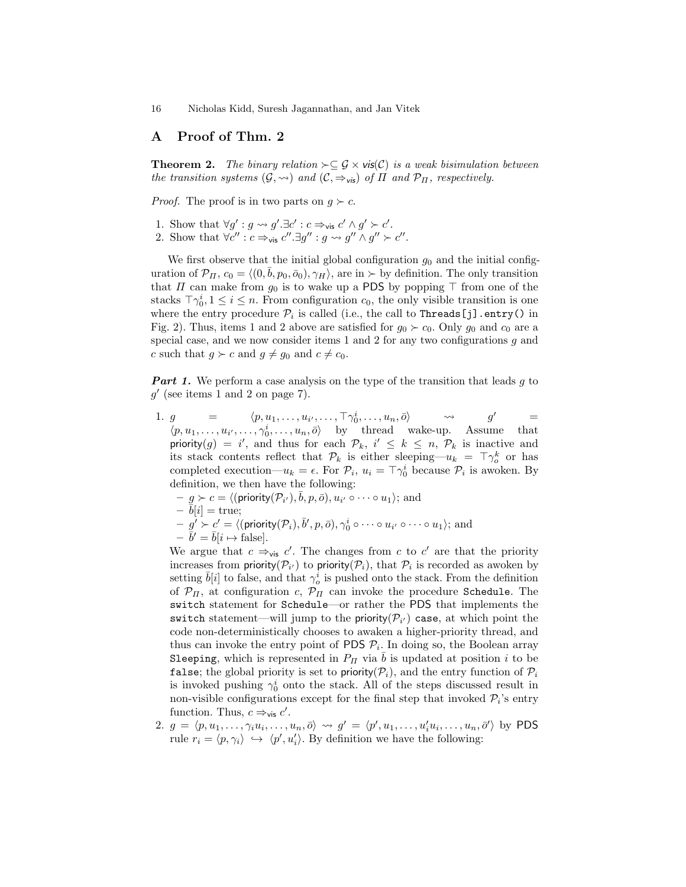# A Proof of Thm. 2

**Theorem 2.** The binary relation  $\succ \subseteq \mathcal{G} \times \mathsf{vis}(\mathcal{C})$  is a weak bisimulation between the transition systems  $(G, \leadsto)$  and  $(C, \Rightarrow_{\mathsf{vis}})$  of  $\Pi$  and  $\mathcal{P}_{\Pi}$ , respectively.

*Proof.* The proof is in two parts on  $q \succ c$ .

- 1. Show that  $\forall g': g \leadsto g'.\exists c': c \Rightarrow_{\mathsf{vis}} c' \land g' \succ c'.$
- 2. Show that  $\forall c'' : c \Rightarrow_{\text{vis}} c''.\exists g'' : g \leadsto g'' \land g'' \succ c''.$

We first observe that the initial global configuration  $g_0$  and the initial configuration of  $\mathcal{P}_\Pi$ ,  $c_0 = \langle (0, \bar{b}, p_0, \bar{o}_0), \gamma_H \rangle$ , are in  $\succ$  by definition. The only transition that  $\Pi$  can make from  $g_0$  is to wake up a PDS by popping  $\top$  from one of the stacks  $\lceil \gamma_0^i, 1 \leq i \leq n$ . From configuration  $c_0$ , the only visible transition is one where the entry procedure  $\mathcal{P}_i$  is called (i.e., the call to Threads [j] .entry() in Fig. 2). Thus, items 1 and 2 above are satisfied for  $g_0 \succ c_0$ . Only  $g_0$  and  $c_0$  are a special case, and we now consider items 1 and 2 for any two configurations g and c such that  $g \succ c$  and  $g \neq g_0$  and  $c \neq c_0$ .

**Part 1.** We perform a case analysis on the type of the transition that leads  $g$  to  $g'$  (see items 1 and 2 on page 7).

- 1.  $g = \langle p, u_1, \ldots, u_{i'}, \ldots, \top \gamma_0^i, \ldots, u_n, \overline{o} \rangle \longrightarrow g' =$  $\langle p, u_1, \ldots, u_{i'}, \ldots, \gamma_0^i, \ldots, u_n, \overline{o} \rangle$  by thread wake-up. Assume that priority(g) = i', and thus for each  $\mathcal{P}_k$ , i'  $\leq k \leq n$ ,  $\mathcal{P}_k$  is inactive and its stack contents reflect that  $\mathcal{P}_k$  is either sleeping— $u_k = \top \gamma_o^k$  or has completed execution— $u_k = \epsilon$ . For  $\mathcal{P}_i$ ,  $u_i = \top \gamma_0^i$  because  $\mathcal{P}_i$  is awoken. By definition, we then have the following:
	- $-g \succ c = \langle (\text{priority}(\mathcal{P}_{i'}), \overline{b}, p, \overline{o}), u_{i'} \circ \cdots \circ u_1 \rangle; \text{ and }$
	- $\bar{b}[i] = \text{true};$
	- $-g' \succ c' = \langle (\mathsf{priority}(\mathcal{P}_i), \bar{b}', p, \bar{o}), \gamma_0^i \circ \cdots \circ u_{i'} \circ \cdots \circ u_1 \rangle; \text{ and }$
	- $\bar{b}' = \bar{b}|i \mapsto \text{false}$ .

We argue that  $c \Rightarrow_{\mathsf{vis}} c'$ . The changes from c to  $c'$  are that the priority increases from priority  $(\mathcal{P}_{i'})$  to priority  $(\mathcal{P}_i)$ , that  $\mathcal{P}_i$  is recorded as awoken by setting  $\bar{b}[i]$  to false, and that  $\gamma_o^i$  is pushed onto the stack. From the definition of  $\mathcal{P}_{\Pi}$ , at configuration c,  $\mathcal{P}_{\Pi}$  can invoke the procedure Schedule. The switch statement for Schedule—or rather the PDS that implements the switch statement—will jump to the priority( $\mathcal{P}_{i'}$ ) case, at which point the code non-deterministically chooses to awaken a higher-priority thread, and thus can invoke the entry point of PDS  $P_i$ . In doing so, the Boolean array Sleeping, which is represented in  $P_{\Pi}$  via  $\bar{b}$  is updated at position i to be false; the global priority is set to priority( $\mathcal{P}_i$ ), and the entry function of  $\mathcal{P}_i$ is invoked pushing  $\gamma_0^i$  onto the stack. All of the steps discussed result in non-visible configurations except for the final step that invoked  $\mathcal{P}_i$ 's entry function. Thus,  $c \Rightarrow_{\mathsf{vis}} c'$ .

2.  $g = \langle p, u_1, \ldots, \gamma_i u_i, \ldots, u_n, \overline{o} \rangle \leadsto g' = \langle p', u_1, \ldots, u'_i u_i, \ldots, u_n, \overline{o}' \rangle$  by PDS rule  $r_i = \langle p, \gamma_i \rangle \leftrightarrow \langle p', u'_i \rangle$ . By definition we have the following: